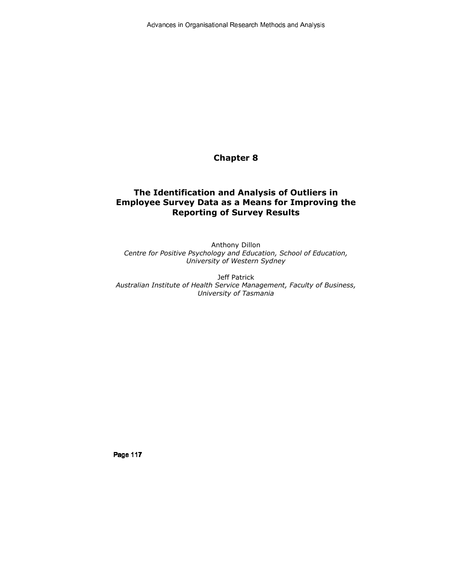# Chapter 8

# The Identification and Analysis of Outliers in Employee Survey Data as a Means for Improving the Reporting of Survey Results

Anthony Dillon Centre for Positive Psychology and Education, School of Education, University of Western Sydney

Jeff Patrick Australian Institute of Health Service Management, Faculty of Business, University of Tasmania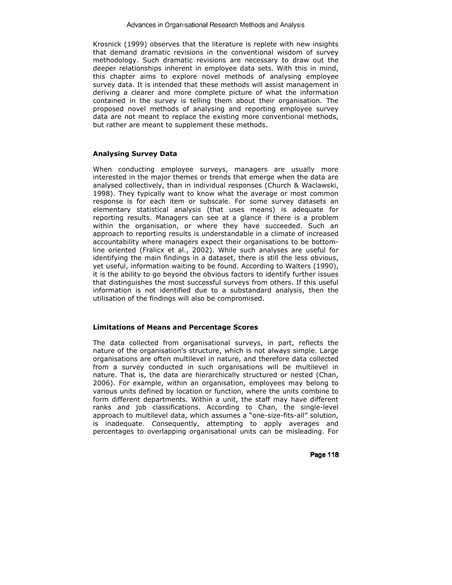Krosnick (1999) observes that the literature is replete with new insights that demand dramatic revisions in the conventional wisdom of survey methodology. Such dramatic revisions are necessary to draw out the deeper relationships inherent in employee data sets. With this in mind, this chapter aims to explore novel methods of analysing employee survey data. It is intended that these methods will assist management in deriving a clearer and more complete picture of what the information contained in the survey is telling them about their organisation. The proposed novel methods of analysing and reporting employee survey data are not meant to replace the existing more conventional methods, but rather are meant to supplement these methods.

## Analysing Survey Data

When conducting employee surveys, managers are usually more interested in the major themes or trends that emerge when the data are analysed collectively, than in individual responses (Church & Waclawski, 1998). They typically want to know what the average or most common response is for each item or subscale. For some survey datasets an elementary statistical analysis (that uses means) is adequate for reporting results. Managers can see at a glance if there is a problem within the organisation, or where they have succeeded. Such an approach to reporting results is understandable in a climate of increased accountability where managers expect their organisations to be bottomline oriented (Fralicx et al., 2002). While such analyses are useful for identifying the main findings in a dataset, there is still the less obvious, yet useful, information waiting to be found. According to Walters (1990), it is the ability to go beyond the obvious factors to identify further issues that distinguishes the most successful surveys from others. If this useful information is not identified due to a substandard analysis, then the utilisation of the findings will also be compromised.

#### Limitations of Means and Percentage Scores

The data collected from organisational surveys, in part, reflects the nature of the organisation's structure, which is not always simple. Large organisations are often multilevel in nature, and therefore data collected from a survey conducted in such organisations will be multilevel in nature. That is, the data are hierarchically structured or nested (Chan, 2006). For example, within an organisation, employees may belong to various units defined by location or function, where the units combine to form different departments. Within a unit, the staff may have different ranks and job classifications. According to Chan, the single-level approach to multilevel data, which assumes a "one-size-fits-all" solution, is inadequate. Consequently, attempting to apply averages and percentages to overlapping organisational units can be misleading. For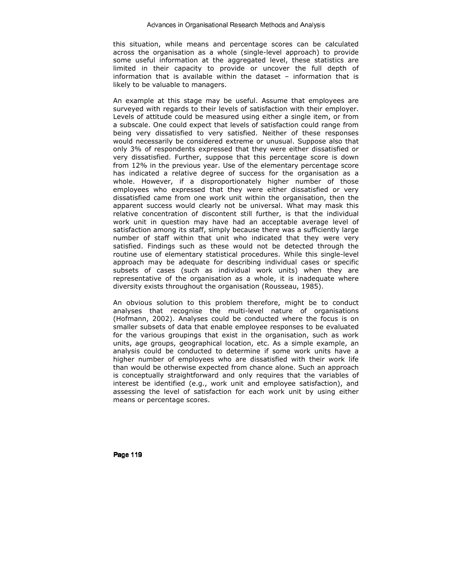this situation, while means and percentage scores can be calculated across the organisation as a whole (single-level approach) to provide some useful information at the aggregated level, these statistics are limited in their capacity to provide or uncover the full depth of information that is available within the dataset – information that is likely to be valuable to managers.

An example at this stage may be useful. Assume that employees are surveyed with regards to their levels of satisfaction with their employer. Levels of attitude could be measured using either a single item, or from a subscale. One could expect that levels of satisfaction could range from being very dissatisfied to very satisfied. Neither of these responses would necessarily be considered extreme or unusual. Suppose also that only 3% of respondents expressed that they were either dissatisfied or very dissatisfied. Further, suppose that this percentage score is down from 12% in the previous year. Use of the elementary percentage score has indicated a relative degree of success for the organisation as a whole. However, if a disproportionately higher number of those employees who expressed that they were either dissatisfied or very dissatisfied came from one work unit within the organisation, then the apparent success would clearly not be universal. What may mask this relative concentration of discontent still further, is that the individual work unit in question may have had an acceptable average level of satisfaction among its staff, simply because there was a sufficiently large number of staff within that unit who indicated that they were very satisfied. Findings such as these would not be detected through the routine use of elementary statistical procedures. While this single-level approach may be adequate for describing individual cases or specific subsets of cases (such as individual work units) when they are representative of the organisation as a whole, it is inadequate where diversity exists throughout the organisation (Rousseau, 1985).

An obvious solution to this problem therefore, might be to conduct analyses that recognise the multi-level nature of organisations (Hofmann, 2002). Analyses could be conducted where the focus is on smaller subsets of data that enable employee responses to be evaluated for the various groupings that exist in the organisation, such as work units, age groups, geographical location, etc. As a simple example, an analysis could be conducted to determine if some work units have a higher number of employees who are dissatisfied with their work life than would be otherwise expected from chance alone. Such an approach is conceptually straightforward and only requires that the variables of interest be identified (e.g., work unit and employee satisfaction), and assessing the level of satisfaction for each work unit by using either means or percentage scores.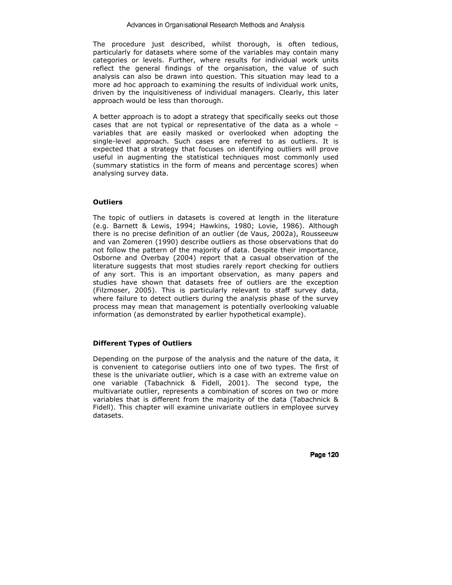The procedure just described, whilst thorough, is often tedious, particularly for datasets where some of the variables may contain many categories or levels. Further, where results for individual work units reflect the general findings of the organisation, the value of such analysis can also be drawn into question. This situation may lead to a more ad hoc approach to examining the results of individual work units, driven by the inquisitiveness of individual managers. Clearly, this later approach would be less than thorough.

A better approach is to adopt a strategy that specifically seeks out those cases that are not typical or representative of the data as a whole – variables that are easily masked or overlooked when adopting the single-level approach. Such cases are referred to as outliers. It is expected that a strategy that focuses on identifying outliers will prove useful in augmenting the statistical techniques most commonly used (summary statistics in the form of means and percentage scores) when analysing survey data.

## **Outliers**

The topic of outliers in datasets is covered at length in the literature (e.g. Barnett & Lewis, 1994; Hawkins, 1980; Lovie, 1986). Although there is no precise definition of an outlier (de Vaus, 2002a), Rousseeuw and van Zomeren (1990) describe outliers as those observations that do not follow the pattern of the majority of data. Despite their importance, Osborne and Overbay (2004) report that a casual observation of the literature suggests that most studies rarely report checking for outliers of any sort. This is an important observation, as many papers and studies have shown that datasets free of outliers are the exception (Filzmoser, 2005). This is particularly relevant to staff survey data, where failure to detect outliers during the analysis phase of the survey process may mean that management is potentially overlooking valuable information (as demonstrated by earlier hypothetical example).

# Different Types of Outliers

Depending on the purpose of the analysis and the nature of the data, it is convenient to categorise outliers into one of two types. The first of these is the univariate outlier, which is a case with an extreme value on one variable (Tabachnick & Fidell, 2001). The second type, the multivariate outlier, represents a combination of scores on two or more variables that is different from the majority of the data (Tabachnick & Fidell). This chapter will examine univariate outliers in employee survey datasets.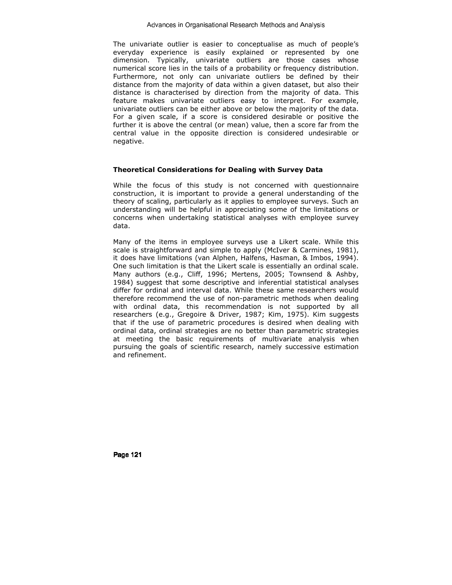The univariate outlier is easier to conceptualise as much of people's everyday experience is easily explained or represented by one dimension. Typically, univariate outliers are those cases whose numerical score lies in the tails of a probability or frequency distribution. Furthermore, not only can univariate outliers be defined by their distance from the majority of data within a given dataset, but also their distance is characterised by direction from the majority of data. This feature makes univariate outliers easy to interpret. For example, univariate outliers can be either above or below the majority of the data. For a given scale, if a score is considered desirable or positive the further it is above the central (or mean) value, then a score far from the central value in the opposite direction is considered undesirable or negative.

# Theoretical Considerations for Dealing with Survey Data

While the focus of this study is not concerned with questionnaire construction, it is important to provide a general understanding of the theory of scaling, particularly as it applies to employee surveys. Such an understanding will be helpful in appreciating some of the limitations or concerns when undertaking statistical analyses with employee survey data.

Many of the items in employee surveys use a Likert scale. While this scale is straightforward and simple to apply (McIver & Carmines, 1981), it does have limitations (van Alphen, Halfens, Hasman, & Imbos, 1994). One such limitation is that the Likert scale is essentially an ordinal scale. Many authors (e.g., Cliff, 1996; Mertens, 2005; Townsend & Ashby, 1984) suggest that some descriptive and inferential statistical analyses differ for ordinal and interval data. While these same researchers would therefore recommend the use of non-parametric methods when dealing with ordinal data, this recommendation is not supported by all researchers (e.g., Gregoire & Driver, 1987; Kim, 1975). Kim suggests that if the use of parametric procedures is desired when dealing with ordinal data, ordinal strategies are no better than parametric strategies at meeting the basic requirements of multivariate analysis when pursuing the goals of scientific research, namely successive estimation and refinement.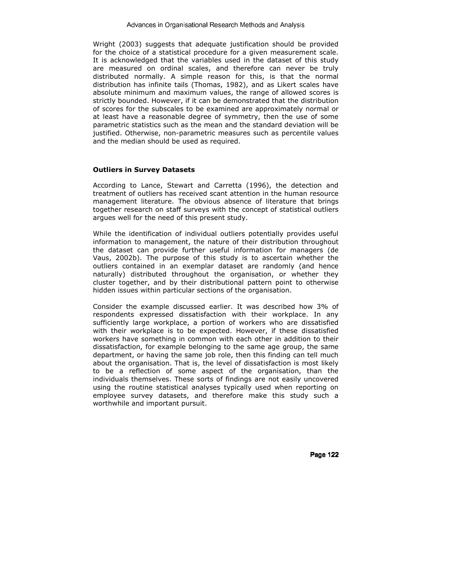Wright (2003) suggests that adequate justification should be provided for the choice of a statistical procedure for a given measurement scale. It is acknowledged that the variables used in the dataset of this study are measured on ordinal scales, and therefore can never be truly distributed normally. A simple reason for this, is that the normal distribution has infinite tails (Thomas, 1982), and as Likert scales have absolute minimum and maximum values, the range of allowed scores is strictly bounded. However, if it can be demonstrated that the distribution of scores for the subscales to be examined are approximately normal or at least have a reasonable degree of symmetry, then the use of some parametric statistics such as the mean and the standard deviation will be justified. Otherwise, non-parametric measures such as percentile values and the median should be used as required.

# Outliers in Survey Datasets

According to Lance, Stewart and Carretta (1996), the detection and treatment of outliers has received scant attention in the human resource management literature. The obvious absence of literature that brings together research on staff surveys with the concept of statistical outliers argues well for the need of this present study.

While the identification of individual outliers potentially provides useful information to management, the nature of their distribution throughout the dataset can provide further useful information for managers (de Vaus, 2002b). The purpose of this study is to ascertain whether the outliers contained in an exemplar dataset are randomly (and hence naturally) distributed throughout the organisation, or whether they cluster together, and by their distributional pattern point to otherwise hidden issues within particular sections of the organisation.

Consider the example discussed earlier. It was described how 3% of respondents expressed dissatisfaction with their workplace. In any sufficiently large workplace, a portion of workers who are dissatisfied with their workplace is to be expected. However, if these dissatisfied workers have something in common with each other in addition to their dissatisfaction, for example belonging to the same age group, the same department, or having the same job role, then this finding can tell much about the organisation. That is, the level of dissatisfaction is most likely to be a reflection of some aspect of the organisation, than the individuals themselves. These sorts of findings are not easily uncovered using the routine statistical analyses typically used when reporting on employee survey datasets, and therefore make this study such a worthwhile and important pursuit.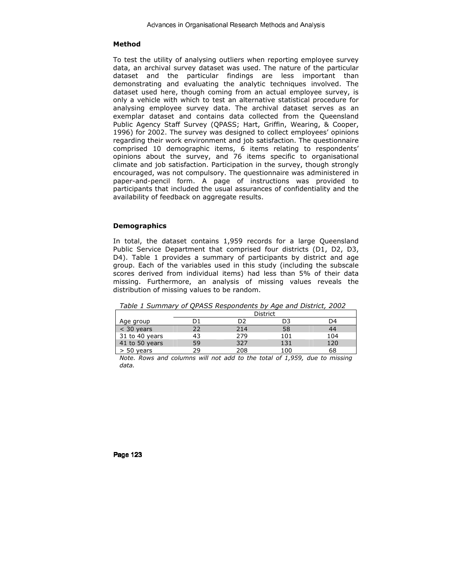## Method

To test the utility of analysing outliers when reporting employee survey data, an archival survey dataset was used. The nature of the particular dataset and the particular findings are less important than demonstrating and evaluating the analytic techniques involved. The dataset used here, though coming from an actual employee survey, is only a vehicle with which to test an alternative statistical procedure for analysing employee survey data. The archival dataset serves as an exemplar dataset and contains data collected from the Queensland Public Agency Staff Survey (QPASS; Hart, Griffin, Wearing, & Cooper, 1996) for 2002. The survey was designed to collect employees' opinions regarding their work environment and job satisfaction. The questionnaire comprised 10 demographic items, 6 items relating to respondents' opinions about the survey, and 76 items specific to organisational climate and job satisfaction. Participation in the survey, though strongly encouraged, was not compulsory. The questionnaire was administered in paper-and-pencil form. A page of instructions was provided to participants that included the usual assurances of confidentiality and the availability of feedback on aggregate results.

# Demographics

In total, the dataset contains 1,959 records for a large Queensland Public Service Department that comprised four districts (D1, D2, D3, D4). Table 1 provides a summary of participants by district and age group. Each of the variables used in this study (including the subscale scores derived from individual items) had less than 5% of their data missing. Furthermore, an analysis of missing values reveals the distribution of missing values to be random.

|                |    |     | <b>District</b> |     |
|----------------|----|-----|-----------------|-----|
| Age group      |    |     |                 | D4  |
| $<$ 30 years   |    | 214 | 58              | 44  |
| 31 to 40 years |    | 279 | 101             | 104 |
| 41 to 50 years | 59 | 327 | 131             | 120 |
| 50 years       |    | 208 | 100             | 68  |

Table 1 Summary of QPASS Respondents by Age and District, 2002

Note. Rows and columns will not add to the total of 1,959, due to missing data.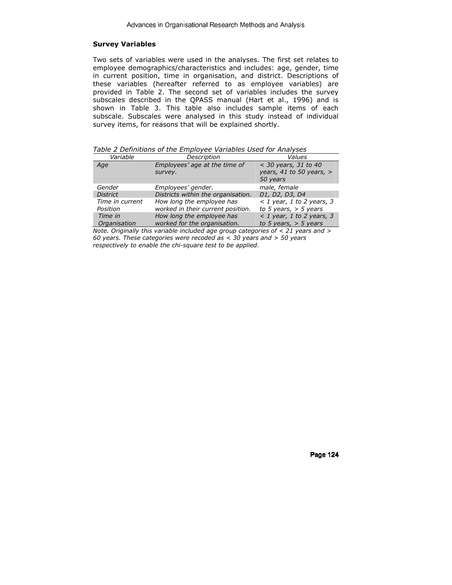## Survey Variables

Two sets of variables were used in the analyses. The first set relates to employee demographics/characteristics and includes: age, gender, time in current position, time in organisation, and district. Descriptions of these variables (hereafter referred to as employee variables) are provided in Table 2. The second set of variables includes the survey subscales described in the QPASS manual (Hart et al., 1996) and is shown in Table 3. This table also includes sample items of each subscale. Subscales were analysed in this study instead of individual survey items, for reasons that will be explained shortly.

Table 2 Definitions of the Employee Variables Used for Analyses

| Variable                    | Description                                                    | Values                                                           |
|-----------------------------|----------------------------------------------------------------|------------------------------------------------------------------|
| Age                         | Employees' age at the time of<br>survey.                       | $<$ 30 years, 31 to 40<br>years, 41 to 50 years, $>$<br>50 years |
| Gender                      | Employees' gender.                                             | male, female                                                     |
| <b>District</b>             | Districts within the organisation.                             | D1, D2, D3, D4                                                   |
| Time in current<br>Position | How long the employee has<br>worked in their current position. | < 1 year, 1 to 2 years, 3<br>to 5 years, $>$ 5 years             |
| Time in                     | How long the employee has                                      | $<$ 1 year, 1 to 2 years, 3                                      |
| Organisation                | worked for the organisation.                                   | to 5 years, $>$ 5 years                                          |

Note. Originally this variable included age group categories of  $<$  21 years and  $>$ 60 years. These categories were recoded as < 30 years and > 50 years respectively to enable the chi-square test to be applied.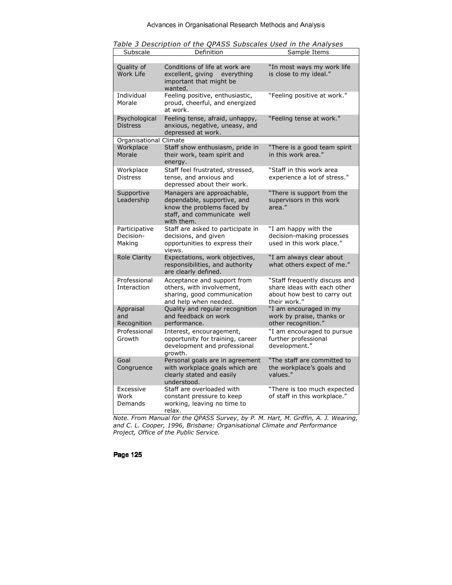| Subscale                             | rable 5 Description or the GrASS Subscales Osed in the Analyses<br>Definition                                          | Sample Items                                                                                                |
|--------------------------------------|------------------------------------------------------------------------------------------------------------------------|-------------------------------------------------------------------------------------------------------------|
|                                      |                                                                                                                        |                                                                                                             |
| Quality of<br>Work Life              | Conditions of life at work are<br>excellent, giving<br>everything<br>important that might be<br>wanted.                | "In most ways my work life<br>is close to my ideal."                                                        |
| Individual<br>Morale                 | Feeling positive, enthusiastic,<br>proud, cheerful, and energized<br>at work.                                          | "Feeling positive at work."                                                                                 |
| Psychological<br><b>Distress</b>     | Feeling tense, afraid, unhappy,<br>anxious, negative, uneasy, and<br>depressed at work.                                | "Feeling tense at work."                                                                                    |
| Organisational Climate               |                                                                                                                        |                                                                                                             |
| Workplace<br>Morale                  | Staff show enthusiasm, pride in<br>their work, team spirit and<br>energy.                                              | "There is a good team spirit<br>in this work area."                                                         |
| Workplace<br><b>Distress</b>         | Staff feel frustrated, stressed,<br>tense, and anxious and<br>depressed about their work.                              | "Staff in this work area<br>experience a lot of stress."                                                    |
| Supportive<br>Leadership             | Managers are approachable,<br>dependable, supportive, and<br>know the problems faced by<br>staff, and communicate well | "There is support from the<br>supervisors in this work<br>area."                                            |
|                                      | with them.                                                                                                             |                                                                                                             |
| Participative<br>Decision-<br>Making | Staff are asked to participate in<br>decisions, and given<br>opportunities to express their<br>views.                  | "I am happy with the<br>decision-making processes<br>used in this work place."                              |
| <b>Role Clarity</b>                  | Expectations, work objectives,<br>responsibilities, and authority<br>are clearly defined.                              | "I am always clear about<br>what others expect of me."                                                      |
| Professional<br>Interaction          | Acceptance and support from<br>others, with involvement,<br>sharing, good communication<br>and help when needed.       | "Staff frequently discuss and<br>share ideas with each other<br>about how best to carry out<br>their work." |
| Appraisal<br>and<br>Recognition      | Quality and regular recognition<br>and feedback on work<br>performance.                                                | "I am encouraged in my<br>work by praise, thanks or<br>other recognition."                                  |
| Professional<br>Growth               | Interest, encouragement,<br>opportunity for training, career<br>development and professional<br>growth.                | "I am encouraged to pursue<br>further professional<br>development."                                         |
| Goal<br>Congruence                   | Personal goals are in agreement<br>with workplace goals which are<br>clearly stated and easily<br>understood.          | "The staff are committed to<br>the workplace's goals and<br>values."                                        |
| Excessive<br>Work<br>Demands         | Staff are overloaded with<br>constant pressure to keep<br>working, leaving no time to<br>relax.                        | "There is too much expected<br>of staff in this workplace."                                                 |

Table 3 Description of the QPASS Subscales Used in the Analyses

Note. From Manual for the QPASS Survey, by P. M. Hart, M. Griffin, A. J. Wearing, and C. L. Cooper, 1996, Brisbane: Organisational Climate and Performance Project, Office of the Public Service.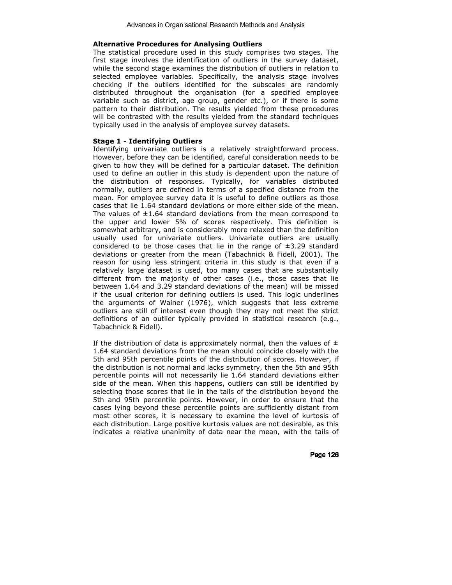#### Alternative Procedures for Analysing Outliers

The statistical procedure used in this study comprises two stages. The first stage involves the identification of outliers in the survey dataset, while the second stage examines the distribution of outliers in relation to selected employee variables. Specifically, the analysis stage involves checking if the outliers identified for the subscales are randomly distributed throughout the organisation (for a specified employee variable such as district, age group, gender etc.), or if there is some pattern to their distribution. The results yielded from these procedures will be contrasted with the results yielded from the standard techniques typically used in the analysis of employee survey datasets.

## Stage 1 - Identifying Outliers

Identifying univariate outliers is a relatively straightforward process. However, before they can be identified, careful consideration needs to be given to how they will be defined for a particular dataset. The definition used to define an outlier in this study is dependent upon the nature of the distribution of responses. Typically, for variables distributed normally, outliers are defined in terms of a specified distance from the mean. For employee survey data it is useful to define outliers as those cases that lie 1.64 standard deviations or more either side of the mean. The values of  $\pm 1.64$  standard deviations from the mean correspond to the upper and lower 5% of scores respectively. This definition is somewhat arbitrary, and is considerably more relaxed than the definition usually used for univariate outliers. Univariate outliers are usually considered to be those cases that lie in the range of  $\pm 3.29$  standard deviations or greater from the mean (Tabachnick & Fidell, 2001). The reason for using less stringent criteria in this study is that even if a relatively large dataset is used, too many cases that are substantially different from the majority of other cases (i.e., those cases that lie between 1.64 and 3.29 standard deviations of the mean) will be missed if the usual criterion for defining outliers is used. This logic underlines the arguments of Wainer (1976), which suggests that less extreme outliers are still of interest even though they may not meet the strict definitions of an outlier typically provided in statistical research (e.g., Tabachnick & Fidell).

If the distribution of data is approximately normal, then the values of  $\pm$ 1.64 standard deviations from the mean should coincide closely with the 5th and 95th percentile points of the distribution of scores. However, if the distribution is not normal and lacks symmetry, then the 5th and 95th percentile points will not necessarily lie 1.64 standard deviations either side of the mean. When this happens, outliers can still be identified by selecting those scores that lie in the tails of the distribution beyond the 5th and 95th percentile points. However, in order to ensure that the cases lying beyond these percentile points are sufficiently distant from most other scores, it is necessary to examine the level of kurtosis of each distribution. Large positive kurtosis values are not desirable, as this indicates a relative unanimity of data near the mean, with the tails of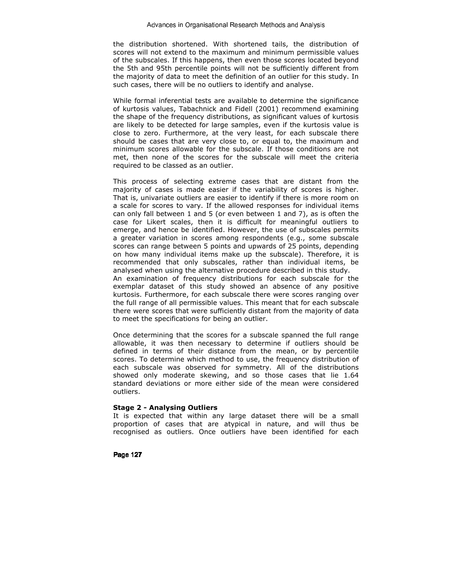the distribution shortened. With shortened tails, the distribution of scores will not extend to the maximum and minimum permissible values of the subscales. If this happens, then even those scores located beyond the 5th and 95th percentile points will not be sufficiently different from the majority of data to meet the definition of an outlier for this study. In such cases, there will be no outliers to identify and analyse.

While formal inferential tests are available to determine the significance of kurtosis values, Tabachnick and Fidell (2001) recommend examining the shape of the frequency distributions, as significant values of kurtosis are likely to be detected for large samples, even if the kurtosis value is close to zero. Furthermore, at the very least, for each subscale there should be cases that are very close to, or equal to, the maximum and minimum scores allowable for the subscale. If those conditions are not met, then none of the scores for the subscale will meet the criteria required to be classed as an outlier.

This process of selecting extreme cases that are distant from the majority of cases is made easier if the variability of scores is higher. That is, univariate outliers are easier to identify if there is more room on a scale for scores to vary. If the allowed responses for individual items can only fall between 1 and 5 (or even between 1 and 7), as is often the case for Likert scales, then it is difficult for meaningful outliers to emerge, and hence be identified. However, the use of subscales permits a greater variation in scores among respondents (e.g., some subscale scores can range between 5 points and upwards of 25 points, depending on how many individual items make up the subscale). Therefore, it is recommended that only subscales, rather than individual items, be analysed when using the alternative procedure described in this study. An examination of frequency distributions for each subscale for the exemplar dataset of this study showed an absence of any positive kurtosis. Furthermore, for each subscale there were scores ranging over the full range of all permissible values. This meant that for each subscale there were scores that were sufficiently distant from the majority of data to meet the specifications for being an outlier.

Once determining that the scores for a subscale spanned the full range allowable, it was then necessary to determine if outliers should be defined in terms of their distance from the mean, or by percentile scores. To determine which method to use, the frequency distribution of each subscale was observed for symmetry. All of the distributions showed only moderate skewing, and so those cases that lie 1.64 standard deviations or more either side of the mean were considered outliers.

## Stage 2 - Analysing Outliers

It is expected that within any large dataset there will be a small proportion of cases that are atypical in nature, and will thus be recognised as outliers. Once outliers have been identified for each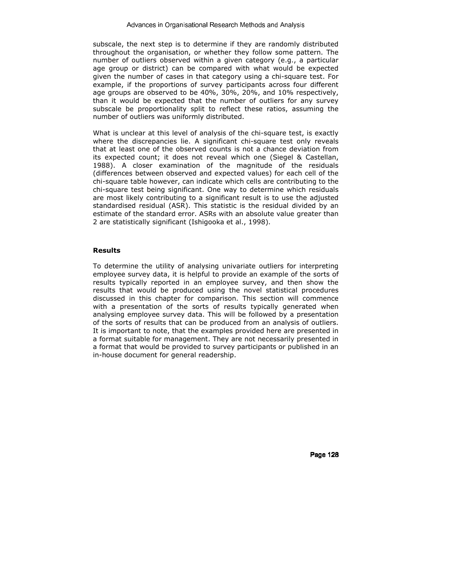subscale, the next step is to determine if they are randomly distributed throughout the organisation, or whether they follow some pattern. The number of outliers observed within a given category (e.g., a particular age group or district) can be compared with what would be expected given the number of cases in that category using a chi-square test. For example, if the proportions of survey participants across four different age groups are observed to be 40%, 30%, 20%, and 10% respectively, than it would be expected that the number of outliers for any survey subscale be proportionality split to reflect these ratios, assuming the number of outliers was uniformly distributed.

What is unclear at this level of analysis of the chi-square test, is exactly where the discrepancies lie. A significant chi-square test only reveals that at least one of the observed counts is not a chance deviation from its expected count; it does not reveal which one (Siegel & Castellan, 1988). A closer examination of the magnitude of the residuals (differences between observed and expected values) for each cell of the chi-square table however, can indicate which cells are contributing to the chi-square test being significant. One way to determine which residuals are most likely contributing to a significant result is to use the adjusted standardised residual (ASR). This statistic is the residual divided by an estimate of the standard error. ASRs with an absolute value greater than 2 are statistically significant (Ishigooka et al., 1998).

#### Results

To determine the utility of analysing univariate outliers for interpreting employee survey data, it is helpful to provide an example of the sorts of results typically reported in an employee survey, and then show the results that would be produced using the novel statistical procedures discussed in this chapter for comparison. This section will commence with a presentation of the sorts of results typically generated when analysing employee survey data. This will be followed by a presentation of the sorts of results that can be produced from an analysis of outliers. It is important to note, that the examples provided here are presented in a format suitable for management. They are not necessarily presented in a format that would be provided to survey participants or published in an in-house document for general readership.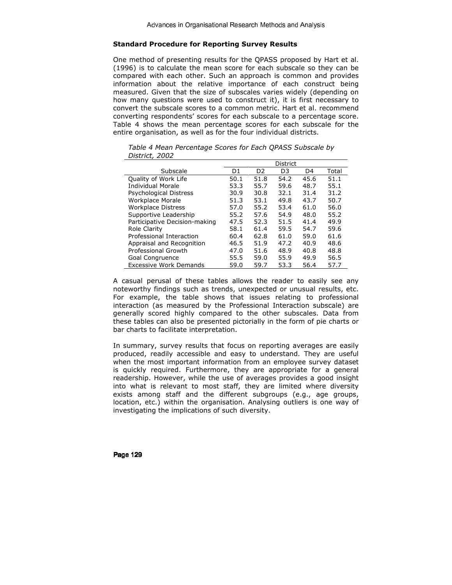# Standard Procedure for Reporting Survey Results

One method of presenting results for the QPASS proposed by Hart et al. (1996) is to calculate the mean score for each subscale so they can be compared with each other. Such an approach is common and provides information about the relative importance of each construct being measured. Given that the size of subscales varies widely (depending on how many questions were used to construct it), it is first necessary to convert the subscale scores to a common metric. Hart et al. recommend converting respondents' scores for each subscale to a percentage score. Table 4 shows the mean percentage scores for each subscale for the entire organisation, as well as for the four individual districts.

|                               | <b>District</b> |                |      |      |       |
|-------------------------------|-----------------|----------------|------|------|-------|
| Subscale                      | D1              | D <sub>2</sub> | D3   | D4   | Total |
| Quality of Work Life          | 50.1            | 51.8           | 54.2 | 45.6 | 51.1  |
| <b>Individual Morale</b>      | 53.3            | 55.7           | 59.6 | 48.7 | 55.1  |
| Psychological Distress        | 30.9            | 30.8           | 32.1 | 31.4 | 31.2  |
| Workplace Morale              | 51.3            | 53.1           | 49.8 | 43.7 | 50.7  |
| <b>Workplace Distress</b>     | 57.0            | 55.2           | 53.4 | 61.0 | 56.0  |
| Supportive Leadership         | 55.2            | 57.6           | 54.9 | 48.0 | 55.2  |
| Participative Decision-making | 47.5            | 52.3           | 51.5 | 41.4 | 49.9  |
| Role Clarity                  | 58.1            | 61.4           | 59.5 | 54.7 | 59.6  |
| Professional Interaction      | 60.4            | 62.8           | 61.0 | 59.0 | 61.6  |
| Appraisal and Recognition     | 46.5            | 51.9           | 47.2 | 40.9 | 48.6  |
| Professional Growth           | 47.0            | 51.6           | 48.9 | 40.8 | 48.8  |
| Goal Congruence               | 55.5            | 59.0           | 55.9 | 49.9 | 56.5  |
| <b>Excessive Work Demands</b> | 59.0            | 59.7           | 53.3 | 56.4 | 57.7  |

Table 4 Mean Percentage Scores for Each QPASS Subscale by District, 2002

A casual perusal of these tables allows the reader to easily see any noteworthy findings such as trends, unexpected or unusual results, etc. For example, the table shows that issues relating to professional interaction (as measured by the Professional Interaction subscale) are generally scored highly compared to the other subscales. Data from these tables can also be presented pictorially in the form of pie charts or bar charts to facilitate interpretation.

In summary, survey results that focus on reporting averages are easily produced, readily accessible and easy to understand. They are useful when the most important information from an employee survey dataset is quickly required. Furthermore, they are appropriate for a general readership. However, while the use of averages provides a good insight into what is relevant to most staff, they are limited where diversity exists among staff and the different subgroups (e.g., age groups, location, etc.) within the organisation. Analysing outliers is one way of investigating the implications of such diversity.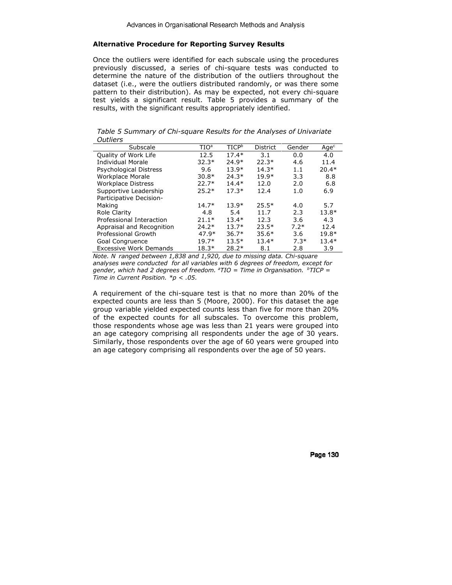# Alternative Procedure for Reporting Survey Results

Once the outliers were identified for each subscale using the procedures previously discussed, a series of chi-square tests was conducted to determine the nature of the distribution of the outliers throughout the dataset (i.e., were the outliers distributed randomly, or was there some pattern to their distribution). As may be expected, not every chi-square test yields a significant result. Table 5 provides a summary of the results, with the significant results appropriately identified.

| Table 5 Summary of Chi-square Results for the Analyses of Univariate<br>Outliers |      |                          |                 |        |                  |
|----------------------------------------------------------------------------------|------|--------------------------|-----------------|--------|------------------|
| Subscale                                                                         | TINª | <b>TICP</b> <sup>b</sup> | <b>District</b> | Gender | Aae <sup>c</sup> |
| $\sim$ $\sim$ $\sim$ $\sim$ $\sim$<br>$\sim$ $\sim$                              |      | ---                      |                 |        | $\sim$           |

| Subscale                      | LLU"    | I LUPT  | DIStrict | Genuer | Aye <sup>-</sup> |
|-------------------------------|---------|---------|----------|--------|------------------|
| Quality of Work Life          | 12.5    | $17.4*$ | 3.1      | 0.0    | 4.0              |
| <b>Individual Morale</b>      | $32.3*$ | $24.9*$ | $22.3*$  | 4.6    | 11.4             |
| Psychological Distress        | 9.6     | $13.9*$ | $14.3*$  | 1.1    | $20.4*$          |
| Workplace Morale              | $30.8*$ | $24.3*$ | $19.9*$  | 3.3    | 8.8              |
| <b>Workplace Distress</b>     | $22.7*$ | $14.4*$ | 12.0     | 2.0    | 6.8              |
| Supportive Leadership         | $25.2*$ | $17.3*$ | 12.4     | 1.0    | 6.9              |
| Participative Decision-       |         |         |          |        |                  |
| Making                        | $14.7*$ | $13.9*$ | $25.5*$  | 4.0    | 5.7              |
| Role Clarity                  | 4.8     | 5.4     | 11.7     | 2.3    | $13.8*$          |
| Professional Interaction      | $21.1*$ | $13.4*$ | 12.3     | 3.6    | 4.3              |
| Appraisal and Recognition     | $24.2*$ | $13.7*$ | $23.5*$  | $7.2*$ | 12.4             |
| Professional Growth           | $47.9*$ | $36.7*$ | $35.6*$  | 3.6    | $19.8*$          |
| Goal Congruence               | $19.7*$ | $13.5*$ | $13.4*$  | $7.3*$ | $13.4*$          |
| <b>Excessive Work Demands</b> | $18.3*$ | $28.2*$ | 8.1      | 2.8    | 3.9              |

Note. N ranged between 1,838 and 1,920, due to missing data. Chi-square analyses were conducted for all variables with 6 degrees of freedom, except for gender, which had 2 degrees of freedom.  ${}^{a}TIO = Time$  in Organisation.  ${}^{b}TICP =$ Time in Current Position.  $* p < .05$ .

A requirement of the chi-square test is that no more than 20% of the expected counts are less than 5 (Moore, 2000). For this dataset the age group variable yielded expected counts less than five for more than 20% of the expected counts for all subscales. To overcome this problem, those respondents whose age was less than 21 years were grouped into an age category comprising all respondents under the age of 30 years. Similarly, those respondents over the age of 60 years were grouped into an age category comprising all respondents over the age of 50 years.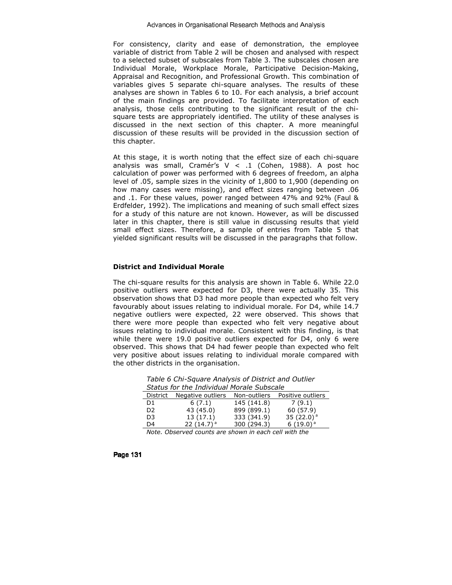For consistency, clarity and ease of demonstration, the employee variable of district from Table 2 will be chosen and analysed with respect to a selected subset of subscales from Table 3. The subscales chosen are Individual Morale, Workplace Morale, Participative Decision-Making, Appraisal and Recognition, and Professional Growth. This combination of variables gives 5 separate chi-square analyses. The results of these analyses are shown in Tables 6 to 10. For each analysis, a brief account of the main findings are provided. To facilitate interpretation of each analysis, those cells contributing to the significant result of the chisquare tests are appropriately identified. The utility of these analyses is discussed in the next section of this chapter. A more meaningful discussion of these results will be provided in the discussion section of this chapter.

At this stage, it is worth noting that the effect size of each chi-square analysis was small, Cramér's  $V < .1$  (Cohen, 1988). A post hoc calculation of power was performed with 6 degrees of freedom, an alpha level of .05, sample sizes in the vicinity of 1,800 to 1,900 (depending on how many cases were missing), and effect sizes ranging between .06 and .1. For these values, power ranged between 47% and 92% (Faul & Erdfelder, 1992). The implications and meaning of such small effect sizes for a study of this nature are not known. However, as will be discussed later in this chapter, there is still value in discussing results that yield small effect sizes. Therefore, a sample of entries from Table 5 that yielded significant results will be discussed in the paragraphs that follow.

#### District and Individual Morale

The chi-square results for this analysis are shown in Table 6. While 22.0 positive outliers were expected for D3, there were actually 35. This observation shows that D3 had more people than expected who felt very favourably about issues relating to individual morale. For D4, while 14.7 negative outliers were expected, 22 were observed. This shows that there were more people than expected who felt very negative about issues relating to individual morale. Consistent with this finding, is that while there were 19.0 positive outliers expected for D4, only 6 were observed. This shows that D4 had fewer people than expected who felt very positive about issues relating to individual morale compared with the other districts in the organisation.

| Table 6 Chi-Square Analysis of District and Outlier |  |
|-----------------------------------------------------|--|
| Status for the Individual Morale Subscale           |  |

| <b>District</b> | Negative outliers | Non-outliers | Positive outliers |
|-----------------|-------------------|--------------|-------------------|
| D1              | 6(7.1)            | 145 (141.8)  | 7(9.1)            |
| D <sub>2</sub>  | 43 (45.0)         | 899 (899.1)  | 60 (57.9)         |
| D3              | 13(17.1)          | 333 (341.9)  | 35 $(22.0)^a$     |
| D4              | 22 $(14.7)^a$     | 300 (294.3)  | 6 $(19.0)^a$      |

Note. Observed counts are shown in each cell with the

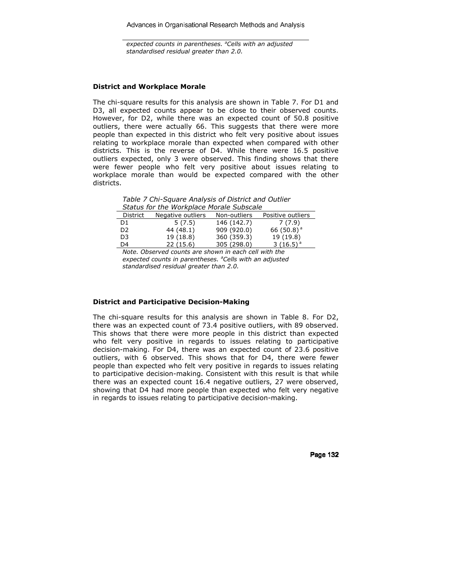expected counts in parentheses. <sup>a</sup>Cells with an adjusted standardised residual greater than 2.0.

#### District and Workplace Morale

The chi-square results for this analysis are shown in Table 7. For D1 and D3, all expected counts appear to be close to their observed counts. However, for D2, while there was an expected count of 50.8 positive outliers, there were actually 66. This suggests that there were more people than expected in this district who felt very positive about issues relating to workplace morale than expected when compared with other districts. This is the reverse of D4. While there were 16.5 positive outliers expected, only 3 were observed. This finding shows that there were fewer people who felt very positive about issues relating to workplace morale than would be expected compared with the other districts.

Table 7 Chi-Square Analysis of District and Outlier Status for the Workplace Morale Subscale

| status for the Workplace Horald Subscare |                   |              |                   |  |
|------------------------------------------|-------------------|--------------|-------------------|--|
| <b>District</b>                          | Negative outliers | Non-outliers | Positive outliers |  |
| D1                                       | 5(7.5)            | 146 (142.7)  | 7(7.9)            |  |
| D <sub>2</sub>                           | 44 (48.1)         | 909 (920.0)  | 66 $(50.8)^a$     |  |
| D3                                       | 19 (18.8)         | 360 (359.3)  | 19 (19.8)         |  |
| D4                                       | 22(15.6)          | 305 (298.0)  | $3(16.5)^{a}$     |  |

Note. Observed counts are shown in each cell with the expected counts in parentheses. <sup>a</sup>Cells with an adjusted standardised residual greater than 2.0.

# District and Participative Decision-Making

The chi-square results for this analysis are shown in Table 8. For D2, there was an expected count of 73.4 positive outliers, with 89 observed. This shows that there were more people in this district than expected who felt very positive in regards to issues relating to participative decision-making. For D4, there was an expected count of 23.6 positive outliers, with 6 observed. This shows that for D4, there were fewer people than expected who felt very positive in regards to issues relating to participative decision-making. Consistent with this result is that while there was an expected count 16.4 negative outliers, 27 were observed, showing that D4 had more people than expected who felt very negative in regards to issues relating to participative decision-making.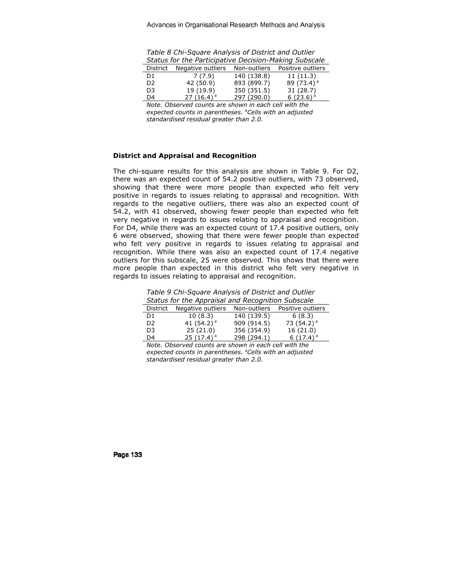Advances in Organisational Research Methods and Analysis

Table 8 Chi-Square Analysis of District and Outlier Status for the Participative Decision-Making Subscale

| status for the randelpative becision making subseque |
|------------------------------------------------------|
| Positive outliers                                    |
| 11(11.3)                                             |
| 89 $(73.4)^a$                                        |
| 31(28.7)                                             |
| $6(23.6)^{a}$                                        |
|                                                      |

Note. Observed counts are shown in each cell with the expected counts in parentheses. <sup>a</sup>Cells with an adjusted standardised residual greater than 2.0.

#### District and Appraisal and Recognition

The chi-square results for this analysis are shown in Table 9. For D2, there was an expected count of 54.2 positive outliers, with 73 observed, showing that there were more people than expected who felt very positive in regards to issues relating to appraisal and recognition. With regards to the negative outliers, there was also an expected count of 54.2, with 41 observed, showing fewer people than expected who felt very negative in regards to issues relating to appraisal and recognition. For D4, while there was an expected count of 17.4 positive outliers, only 6 were observed, showing that there were fewer people than expected who felt very positive in regards to issues relating to appraisal and recognition. While there was also an expected count of 17.4 negative outliers for this subscale, 25 were observed. This shows that there were more people than expected in this district who felt very negative in regards to issues relating to appraisal and recognition.

Table 9 Chi-Square Analysis of District and Outlier

| Status for the Appraisal and Recognition Subscale |                   |              |                         |  |
|---------------------------------------------------|-------------------|--------------|-------------------------|--|
| <b>District</b>                                   | Negative outliers | Non-outliers | Positive outliers       |  |
| D1                                                | 10(8.3)           | 140 (139.5)  | 6(8.3)                  |  |
| D <sub>2</sub>                                    | 41 $(54.2)^a$     | 909 (914.5)  | 73 (54.2) <sup>a</sup>  |  |
| D3                                                | 25(21.0)          | 356 (354.9)  | 16(21.0)                |  |
| D4                                                | 25 $(17.4)^a$     | 298 (294.1)  | 6 $(17.4)$ <sup>a</sup> |  |

Note. Observed counts are shown in each cell with the expected counts in parentheses. <sup>a</sup>Cells with an adjusted standardised residual greater than 2.0.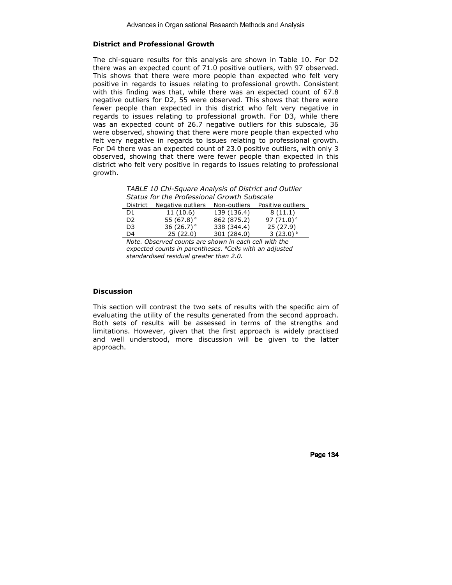## District and Professional Growth

The chi-square results for this analysis are shown in Table 10. For D2 there was an expected count of 71.0 positive outliers, with 97 observed. This shows that there were more people than expected who felt very positive in regards to issues relating to professional growth. Consistent with this finding was that, while there was an expected count of 67.8 negative outliers for D2, 55 were observed. This shows that there were fewer people than expected in this district who felt very negative in regards to issues relating to professional growth. For D3, while there was an expected count of 26.7 negative outliers for this subscale, 36 were observed, showing that there were more people than expected who felt very negative in regards to issues relating to professional growth. For D4 there was an expected count of 23.0 positive outliers, with only 3 observed, showing that there were fewer people than expected in this district who felt very positive in regards to issues relating to professional growth.

TABLE 10 Chi-Square Analysis of District and Outlier Status for the Professional Growth Subscale

| <b>District</b> | Negative outliers      | Non-outliers | Positive outliers |
|-----------------|------------------------|--------------|-------------------|
| D1              | 11 (10.6)              | 139 (136.4)  | 8(11.1)           |
| D <sub>2</sub>  | 55 (67.8) <sup>a</sup> | 862 (875.2)  | 97 $(71.0)^a$     |
| D <sub>3</sub>  | 36 $(26.7)^a$          | 338 (344.4)  | 25 (27.9)         |
| D4              | 25(22.0)               | 301 (284.0)  | $3(23.0)^a$       |

Note. Observed counts are shown in each cell with the expected counts in parentheses. <sup>a</sup>Cells with an adjusted standardised residual greater than 2.0.

## **Discussion**

This section will contrast the two sets of results with the specific aim of evaluating the utility of the results generated from the second approach. Both sets of results will be assessed in terms of the strengths and limitations. However, given that the first approach is widely practised and well understood, more discussion will be given to the latter approach.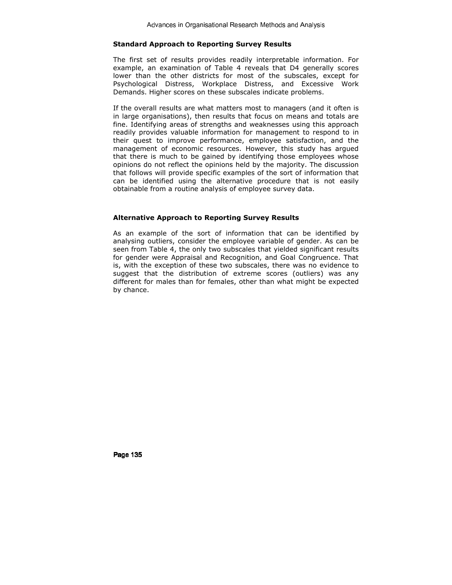# Standard Approach to Reporting Survey Results

The first set of results provides readily interpretable information. For example, an examination of Table 4 reveals that D4 generally scores lower than the other districts for most of the subscales, except for Psychological Distress, Workplace Distress, and Excessive Work Demands. Higher scores on these subscales indicate problems.

If the overall results are what matters most to managers (and it often is in large organisations), then results that focus on means and totals are fine. Identifying areas of strengths and weaknesses using this approach readily provides valuable information for management to respond to in their quest to improve performance, employee satisfaction, and the management of economic resources. However, this study has argued that there is much to be gained by identifying those employees whose opinions do not reflect the opinions held by the majority. The discussion that follows will provide specific examples of the sort of information that can be identified using the alternative procedure that is not easily obtainable from a routine analysis of employee survey data.

## Alternative Approach to Reporting Survey Results

As an example of the sort of information that can be identified by analysing outliers, consider the employee variable of gender. As can be seen from Table 4, the only two subscales that yielded significant results for gender were Appraisal and Recognition, and Goal Congruence. That is, with the exception of these two subscales, there was no evidence to suggest that the distribution of extreme scores (outliers) was any different for males than for females, other than what might be expected by chance.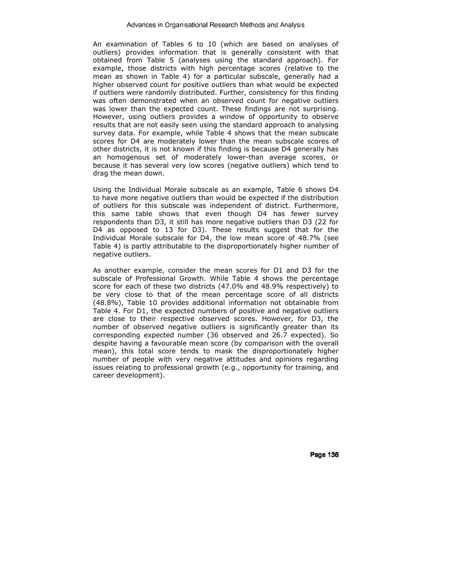An examination of Tables 6 to 10 (which are based on analyses of outliers) provides information that is generally consistent with that obtained from Table 5 (analyses using the standard approach). For example, those districts with high percentage scores (relative to the mean as shown in Table 4) for a particular subscale, generally had a higher observed count for positive outliers than what would be expected if outliers were randomly distributed. Further, consistency for this finding was often demonstrated when an observed count for negative outliers was lower than the expected count. These findings are not surprising. However, using outliers provides a window of opportunity to observe results that are not easily seen using the standard approach to analysing survey data. For example, while Table 4 shows that the mean subscale scores for D4 are moderately lower than the mean subscale scores of other districts, it is not known if this finding is because D4 generally has an homogenous set of moderately lower-than average scores, or because it has several very low scores (negative outliers) which tend to drag the mean down.

Using the Individual Morale subscale as an example, Table 6 shows D4 to have more negative outliers than would be expected if the distribution of outliers for this subscale was independent of district. Furthermore, this same table shows that even though D4 has fewer survey respondents than D3, it still has more negative outliers than D3 (22 for D4 as opposed to 13 for D3). These results suggest that for the Individual Morale subscale for D4, the low mean score of 48.7% (see Table 4) is partly attributable to the disproportionately higher number of negative outliers.

As another example, consider the mean scores for D1 and D3 for the subscale of Professional Growth. While Table 4 shows the percentage score for each of these two districts (47.0% and 48.9% respectively) to be very close to that of the mean percentage score of all districts (48.8%), Table 10 provides additional information not obtainable from Table 4. For D1, the expected numbers of positive and negative outliers are close to their respective observed scores. However, for D3, the number of observed negative outliers is significantly greater than its corresponding expected number (36 observed and 26.7 expected). So despite having a favourable mean score (by comparison with the overall mean), this total score tends to mask the disproportionately higher number of people with very negative attitudes and opinions regarding issues relating to professional growth (e.g., opportunity for training, and career development).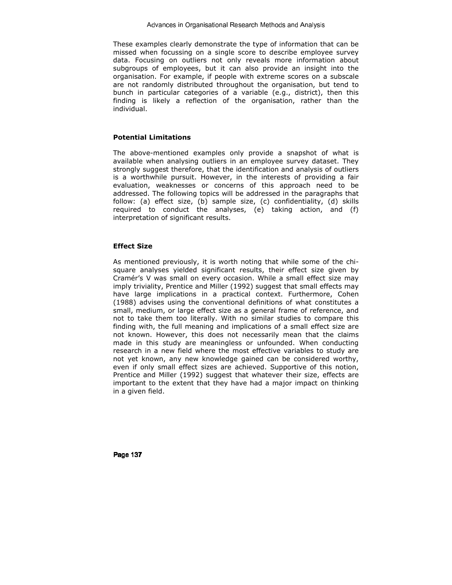Advances in Organisational Research Methods and Analysis

These examples clearly demonstrate the type of information that can be missed when focussing on a single score to describe employee survey data. Focusing on outliers not only reveals more information about subgroups of employees, but it can also provide an insight into the organisation. For example, if people with extreme scores on a subscale are not randomly distributed throughout the organisation, but tend to bunch in particular categories of a variable (e.g., district), then this finding is likely a reflection of the organisation, rather than the individual.

# Potential Limitations

The above-mentioned examples only provide a snapshot of what is available when analysing outliers in an employee survey dataset. They strongly suggest therefore, that the identification and analysis of outliers is a worthwhile pursuit. However, in the interests of providing a fair evaluation, weaknesses or concerns of this approach need to be addressed. The following topics will be addressed in the paragraphs that follow: (a) effect size, (b) sample size, (c) confidentiality, (d) skills required to conduct the analyses, (e) taking action, and (f) interpretation of significant results.

# Effect Size

As mentioned previously, it is worth noting that while some of the chisquare analyses yielded significant results, their effect size given by Cramér's V was small on every occasion. While a small effect size may imply triviality, Prentice and Miller (1992) suggest that small effects may have large implications in a practical context. Furthermore, Cohen (1988) advises using the conventional definitions of what constitutes a small, medium, or large effect size as a general frame of reference, and not to take them too literally. With no similar studies to compare this finding with, the full meaning and implications of a small effect size are not known. However, this does not necessarily mean that the claims made in this study are meaningless or unfounded. When conducting research in a new field where the most effective variables to study are not yet known, any new knowledge gained can be considered worthy, even if only small effect sizes are achieved. Supportive of this notion, Prentice and Miller (1992) suggest that whatever their size, effects are important to the extent that they have had a major impact on thinking in a given field.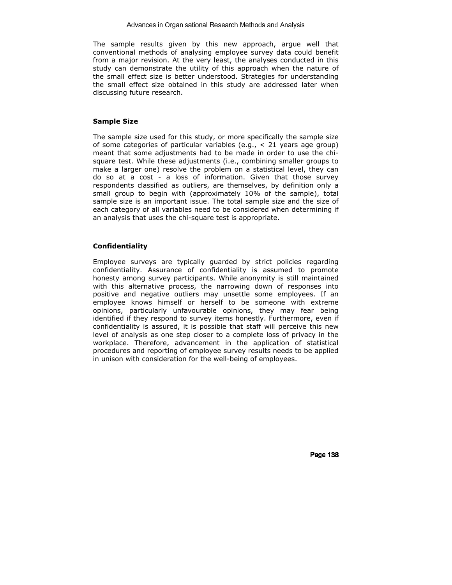The sample results given by this new approach, argue well that conventional methods of analysing employee survey data could benefit from a major revision. At the very least, the analyses conducted in this study can demonstrate the utility of this approach when the nature of the small effect size is better understood. Strategies for understanding the small effect size obtained in this study are addressed later when discussing future research.

# Sample Size

The sample size used for this study, or more specifically the sample size of some categories of particular variables (e.g., < 21 years age group) meant that some adjustments had to be made in order to use the chisquare test. While these adjustments (i.e., combining smaller groups to make a larger one) resolve the problem on a statistical level, they can do so at a cost - a loss of information. Given that those survey respondents classified as outliers, are themselves, by definition only a small group to begin with (approximately 10% of the sample), total sample size is an important issue. The total sample size and the size of each category of all variables need to be considered when determining if an analysis that uses the chi-square test is appropriate.

## Confidentiality

Employee surveys are typically guarded by strict policies regarding confidentiality. Assurance of confidentiality is assumed to promote honesty among survey participants. While anonymity is still maintained with this alternative process, the narrowing down of responses into positive and negative outliers may unsettle some employees. If an employee knows himself or herself to be someone with extreme opinions, particularly unfavourable opinions, they may fear being identified if they respond to survey items honestly. Furthermore, even if confidentiality is assured, it is possible that staff will perceive this new level of analysis as one step closer to a complete loss of privacy in the workplace. Therefore, advancement in the application of statistical procedures and reporting of employee survey results needs to be applied in unison with consideration for the well-being of employees.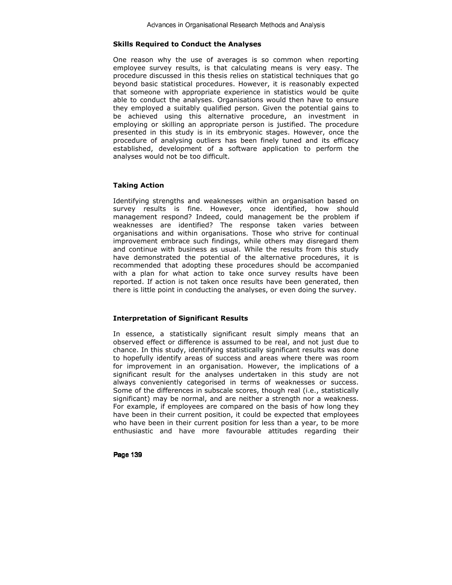## Skills Required to Conduct the Analyses

One reason why the use of averages is so common when reporting employee survey results, is that calculating means is very easy. The procedure discussed in this thesis relies on statistical techniques that go beyond basic statistical procedures. However, it is reasonably expected that someone with appropriate experience in statistics would be quite able to conduct the analyses. Organisations would then have to ensure they employed a suitably qualified person. Given the potential gains to be achieved using this alternative procedure, an investment in employing or skilling an appropriate person is justified. The procedure presented in this study is in its embryonic stages. However, once the procedure of analysing outliers has been finely tuned and its efficacy established, development of a software application to perform the analyses would not be too difficult.

# Taking Action

Identifying strengths and weaknesses within an organisation based on survey results is fine. However, once identified, how should management respond? Indeed, could management be the problem if weaknesses are identified? The response taken varies between organisations and within organisations. Those who strive for continual improvement embrace such findings, while others may disregard them and continue with business as usual. While the results from this study have demonstrated the potential of the alternative procedures, it is recommended that adopting these procedures should be accompanied with a plan for what action to take once survey results have been reported. If action is not taken once results have been generated, then there is little point in conducting the analyses, or even doing the survey.

# Interpretation of Significant Results

In essence, a statistically significant result simply means that an observed effect or difference is assumed to be real, and not just due to chance. In this study, identifying statistically significant results was done to hopefully identify areas of success and areas where there was room for improvement in an organisation. However, the implications of a significant result for the analyses undertaken in this study are not always conveniently categorised in terms of weaknesses or success. Some of the differences in subscale scores, though real (i.e., statistically significant) may be normal, and are neither a strength nor a weakness. For example, if employees are compared on the basis of how long they have been in their current position, it could be expected that employees who have been in their current position for less than a year, to be more enthusiastic and have more favourable attitudes regarding their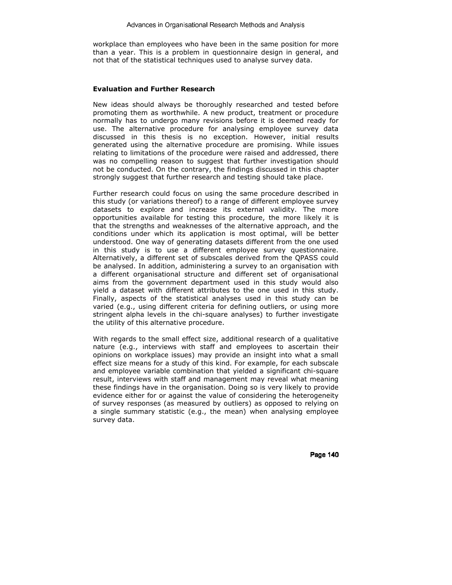workplace than employees who have been in the same position for more than a year. This is a problem in questionnaire design in general, and not that of the statistical techniques used to analyse survey data.

# Evaluation and Further Research

New ideas should always be thoroughly researched and tested before promoting them as worthwhile. A new product, treatment or procedure normally has to undergo many revisions before it is deemed ready for use. The alternative procedure for analysing employee survey data discussed in this thesis is no exception. However, initial results generated using the alternative procedure are promising. While issues relating to limitations of the procedure were raised and addressed, there was no compelling reason to suggest that further investigation should not be conducted. On the contrary, the findings discussed in this chapter strongly suggest that further research and testing should take place.

Further research could focus on using the same procedure described in this study (or variations thereof) to a range of different employee survey datasets to explore and increase its external validity. The more opportunities available for testing this procedure, the more likely it is that the strengths and weaknesses of the alternative approach, and the conditions under which its application is most optimal, will be better understood. One way of generating datasets different from the one used in this study is to use a different employee survey questionnaire. Alternatively, a different set of subscales derived from the QPASS could be analysed. In addition, administering a survey to an organisation with a different organisational structure and different set of organisational aims from the government department used in this study would also yield a dataset with different attributes to the one used in this study. Finally, aspects of the statistical analyses used in this study can be varied (e.g., using different criteria for defining outliers, or using more stringent alpha levels in the chi-square analyses) to further investigate the utility of this alternative procedure.

With regards to the small effect size, additional research of a qualitative nature (e.g., interviews with staff and employees to ascertain their opinions on workplace issues) may provide an insight into what a small effect size means for a study of this kind. For example, for each subscale and employee variable combination that yielded a significant chi-square result, interviews with staff and management may reveal what meaning these findings have in the organisation. Doing so is very likely to provide evidence either for or against the value of considering the heterogeneity of survey responses (as measured by outliers) as opposed to relying on a single summary statistic (e.g., the mean) when analysing employee survey data.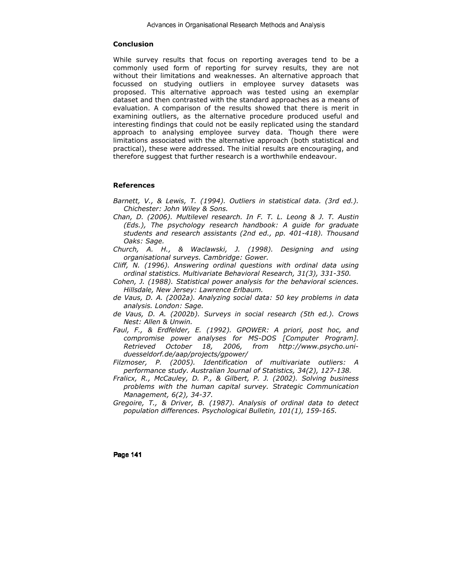#### Conclusion

While survey results that focus on reporting averages tend to be a commonly used form of reporting for survey results, they are not without their limitations and weaknesses. An alternative approach that focussed on studying outliers in employee survey datasets was proposed. This alternative approach was tested using an exemplar dataset and then contrasted with the standard approaches as a means of evaluation. A comparison of the results showed that there is merit in examining outliers, as the alternative procedure produced useful and interesting findings that could not be easily replicated using the standard approach to analysing employee survey data. Though there were limitations associated with the alternative approach (both statistical and practical), these were addressed. The initial results are encouraging, and therefore suggest that further research is a worthwhile endeavour.

## References

- Barnett, V., & Lewis, T. (1994). Outliers in statistical data. (3rd ed.). Chichester: John Wiley & Sons.
- Chan, D. (2006). Multilevel research. In F. T. L. Leong & J. T. Austin (Eds.), The psychology research handbook: A guide for graduate students and research assistants (2nd ed., pp. 401-418). Thousand Oaks: Sage.
- Church, A. H., & Waclawski, J. (1998). Designing and using organisational surveys. Cambridge: Gower.
- Cliff, N. (1996). Answering ordinal questions with ordinal data using ordinal statistics. Multivariate Behavioral Research, 31(3), 331-350.
- Cohen, J. (1988). Statistical power analysis for the behavioral sciences. Hillsdale, New Jersey: Lawrence Erlbaum.
- de Vaus, D. A. (2002a). Analyzing social data: 50 key problems in data analysis. London: Sage.
- de Vaus, D. A. (2002b). Surveys in social research (5th ed.). Crows Nest: Allen & Unwin.
- Faul, F., & Erdfelder, E. (1992). GPOWER: A priori, post hoc, and compromise power analyses for MS-DOS [Computer Program]. Retrieved October 18, 2006, from http://www.psycho.uniduesseldorf.de/aap/projects/gpower/
- Filzmoser, P. (2005). Identification of multivariate outliers: A performance study. Australian Journal of Statistics, 34(2), 127-138.
- Fralicx, R., McCauley, D. P., & Gilbert, P. J. (2002). Solving business problems with the human capital survey. Strategic Communication Management, 6(2), 34-37.
- Gregoire, T., & Driver, B. (1987). Analysis of ordinal data to detect population differences. Psychological Bulletin, 101(1), 159-165.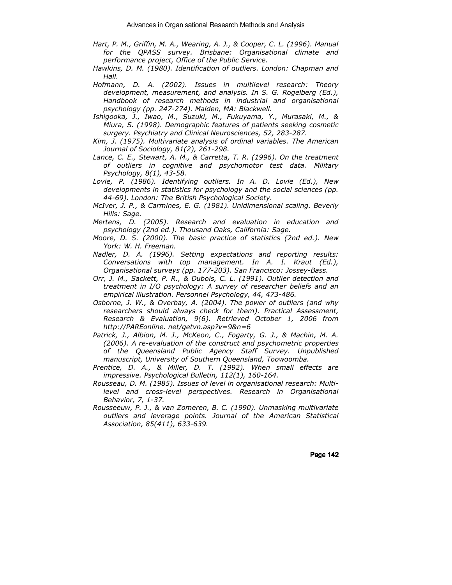- Hart, P. M., Griffin, M. A., Wearing, A. J., & Cooper, C. L. (1996). Manual for the QPASS survey. Brisbane: Organisational climate and performance project, Office of the Public Service.
- Hawkins, D. M. (1980). Identification of outliers. London: Chapman and Hall.
- Hofmann, D. A. (2002). Issues in multilevel research: Theory development, measurement, and analysis. In S. G. Rogelberg (Ed.), Handbook of research methods in industrial and organisational psychology (pp. 247-274). Malden, MA: Blackwell.
- Ishigooka, J., Iwao, M., Suzuki, M., Fukuyama, Y., Murasaki, M., & Miura, S. (1998). Demographic features of patients seeking cosmetic surgery. Psychiatry and Clinical Neurosciences, 52, 283-287.
- Kim, J. (1975). Multivariate analysis of ordinal variables. The American Journal of Sociology, 81(2), 261-298.
- Lance, C. E., Stewart, A. M., & Carretta, T. R. (1996). On the treatment of outliers in cognitive and psychomotor test data. Military Psychology, 8(1), 43-58.
- Lovie, P. (1986). Identifying outliers. In A. D. Lovie (Ed.), New developments in statistics for psychology and the social sciences (pp. 44-69). London: The British Psychological Society.
- McIver, J. P., & Carmines, E. G. (1981). Unidimensional scaling. Beverly Hills: Sage.
- Mertens, D. (2005). Research and evaluation in education and psychology (2nd ed.). Thousand Oaks, California: Sage.
- Moore, D. S. (2000). The basic practice of statistics (2nd ed.). New York: W. H. Freeman.
- Nadler, D. A. (1996). Setting expectations and reporting results: Conversations with top management. In A. I. Kraut (Ed.), Organisational surveys (pp. 177-203). San Francisco: Jossey-Bass.
- Orr, J. M., Sackett, P. R., & Dubois, C. L. (1991). Outlier detection and treatment in I/O psychology: A survey of researcher beliefs and an empirical illustration. Personnel Psychology, 44, 473-486.
- Osborne, J. W., & Overbay, A. (2004). The power of outliers (and why researchers should always check for them). Practical Assessment, Research & Evaluation, 9(6). Retrieved October 1, 2006 from http://PAREonline. net/getvn.asp?v=9&n=6
- Patrick, J., Albion, M. J., McKeon, C., Fogarty, G. J., & Machin, M. A. (2006). A re-evaluation of the construct and psychometric properties of the Queensland Public Agency Staff Survey. Unpublished manuscript, University of Southern Queensland, Toowoomba.
- Prentice, D. A., & Miller, D. T. (1992). When small effects are impressive. Psychological Bulletin, 112(1), 160-164.
- Rousseau, D. M. (1985). Issues of level in organisational research: Multilevel and cross-level perspectives. Research in Organisational Behavior, 7, 1-37.
- Rousseeuw, P. J., & van Zomeren, B. C. (1990). Unmasking multivariate outliers and leverage points. Journal of the American Statistical Association, 85(411), 633-639.